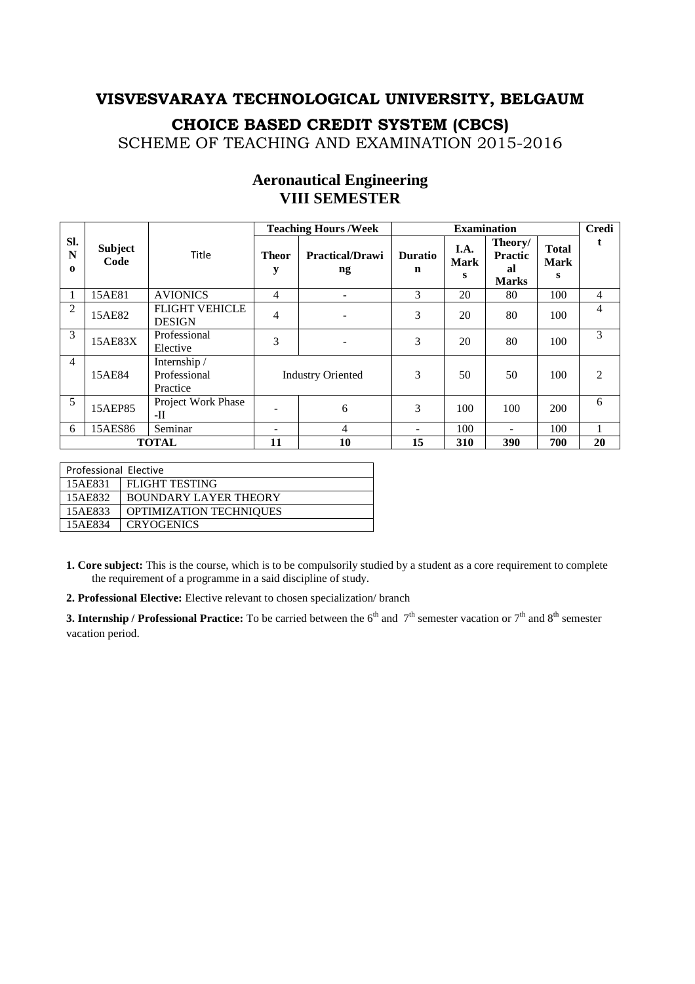SCHEME OF TEACHING AND EXAMINATION 2015-2016

|                      |                        |                                          |                   | <b>Teaching Hours /Week</b>  |                     | <b>Examination</b>       |                                                 |                                  | <b>Credi</b>                |
|----------------------|------------------------|------------------------------------------|-------------------|------------------------------|---------------------|--------------------------|-------------------------------------------------|----------------------------------|-----------------------------|
| SI.<br>N<br>$\Omega$ | <b>Subject</b><br>Code | Title                                    | <b>Theor</b><br>y | <b>Practical/Drawi</b><br>ng | <b>Duratio</b><br>n | I.A.<br><b>Mark</b><br>S | Theory/<br><b>Practic</b><br>al<br><b>Marks</b> | <b>Total</b><br><b>Mark</b><br>S |                             |
|                      | 15AE81                 | <b>AVIONICS</b>                          | $\overline{4}$    | $\overline{\phantom{0}}$     | 3                   | 20                       | 80                                              | 100                              | $\overline{4}$              |
| 2                    | 15AE82                 | <b>FLIGHT VEHICLE</b><br><b>DESIGN</b>   | $\overline{4}$    |                              | 3                   | 20                       | 80                                              | 100                              | 4                           |
| 3                    | 15AE83X                | Professional<br>Elective                 | 3                 |                              | 3                   | 20                       | 80                                              | 100                              | 3                           |
| $\overline{4}$       | 15AE84                 | Internship /<br>Professional<br>Practice |                   | <b>Industry Oriented</b>     | 3                   | 50                       | 50                                              | 100                              | $\mathcal{D}_{\mathcal{L}}$ |
| 5                    | 15AEP85                | Project Work Phase<br>-II                |                   | 6                            | 3                   | 100                      | 100                                             | 200                              | 6                           |
| 6                    | 15AES86                | Seminar                                  |                   | $\overline{4}$               |                     | 100                      |                                                 | 100                              |                             |
|                      |                        | <b>TOTAL</b>                             | 11                | 10                           | 15                  | 310                      | 390                                             | 700                              | 20                          |

### **Aeronautical Engineering VIII SEMESTER**

| Professional Elective |                              |
|-----------------------|------------------------------|
| 15AE831               | <b>FLIGHT TESTING</b>        |
| 15AE832               | <b>BOUNDARY LAYER THEORY</b> |
| 15AE833               | OPTIMIZATION TECHNIQUES      |
| 15AE834               | <b>CRYOGENICS</b>            |

**1. Core subject:** This is the course, which is to be compulsorily studied by a student as a core requirement to complete the requirement of a programme in a said discipline of study.

**2. Professional Elective:** Elective relevant to chosen specialization/ branch

**3. Internship / Professional Practice:** To be carried between the  $6<sup>th</sup>$  and  $7<sup>th</sup>$  semester vacation or  $7<sup>th</sup>$  and  $8<sup>th</sup>$  semester vacation period.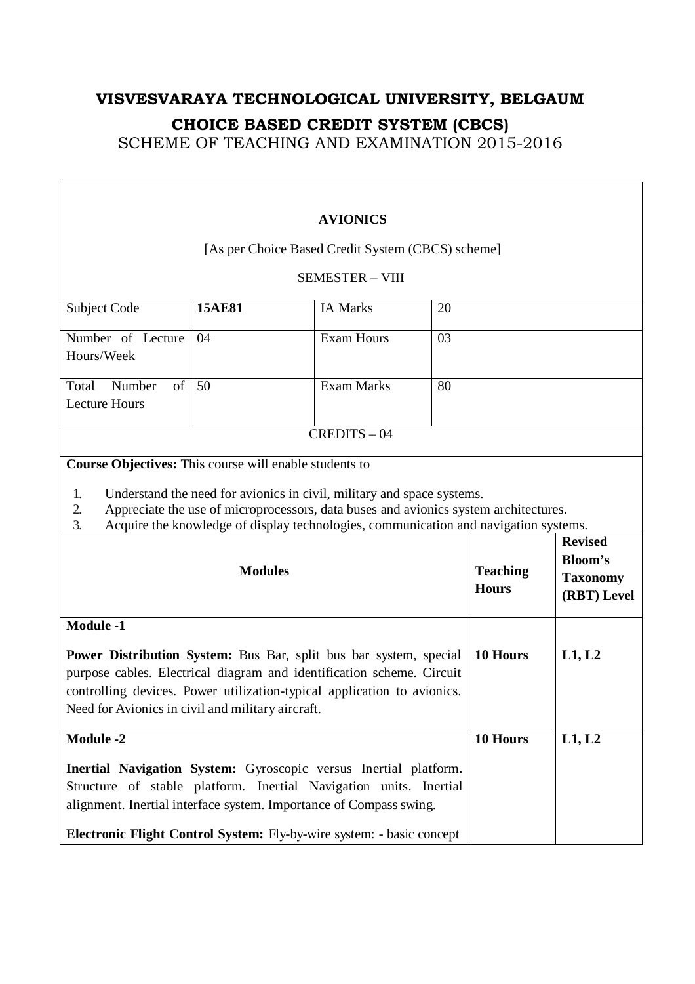| <b>AVIONICS</b>                                                                                                                                                                                                                                                                                         |                        |                                                                                                                                                                |    |                                 |                                                                    |  |  |
|---------------------------------------------------------------------------------------------------------------------------------------------------------------------------------------------------------------------------------------------------------------------------------------------------------|------------------------|----------------------------------------------------------------------------------------------------------------------------------------------------------------|----|---------------------------------|--------------------------------------------------------------------|--|--|
| [As per Choice Based Credit System (CBCS) scheme]                                                                                                                                                                                                                                                       |                        |                                                                                                                                                                |    |                                 |                                                                    |  |  |
|                                                                                                                                                                                                                                                                                                         | <b>SEMESTER - VIII</b> |                                                                                                                                                                |    |                                 |                                                                    |  |  |
| Subject Code                                                                                                                                                                                                                                                                                            | 20                     |                                                                                                                                                                |    |                                 |                                                                    |  |  |
| Number of Lecture<br><b>Exam Hours</b><br>04<br>03<br>Hours/Week                                                                                                                                                                                                                                        |                        |                                                                                                                                                                |    |                                 |                                                                    |  |  |
| Total<br>Number<br>of<br><b>Lecture Hours</b>                                                                                                                                                                                                                                                           | 50                     | <b>Exam Marks</b>                                                                                                                                              | 80 |                                 |                                                                    |  |  |
|                                                                                                                                                                                                                                                                                                         |                        | $CREDITS - 04$                                                                                                                                                 |    |                                 |                                                                    |  |  |
| <b>Course Objectives:</b> This course will enable students to                                                                                                                                                                                                                                           |                        |                                                                                                                                                                |    |                                 |                                                                    |  |  |
| 1.<br>2.<br>3.                                                                                                                                                                                                                                                                                          |                        | Understand the need for avionics in civil, military and space systems.<br>Appreciate the use of microprocessors, data buses and avionics system architectures. |    |                                 |                                                                    |  |  |
| Acquire the knowledge of display technologies, communication and navigation systems.<br><b>Modules</b>                                                                                                                                                                                                  |                        |                                                                                                                                                                |    | <b>Teaching</b><br><b>Hours</b> | <b>Revised</b><br><b>Bloom's</b><br><b>Taxonomy</b><br>(RBT) Level |  |  |
| <b>Module -1</b>                                                                                                                                                                                                                                                                                        |                        |                                                                                                                                                                |    |                                 |                                                                    |  |  |
| 10 Hours<br><b>Power Distribution System:</b> Bus Bar, split bus bar system, special<br>L1, L2<br>purpose cables. Electrical diagram and identification scheme. Circuit<br>controlling devices. Power utilization-typical application to avionics.<br>Need for Avionics in civil and military aircraft. |                        |                                                                                                                                                                |    |                                 |                                                                    |  |  |
| <b>Module -2</b>                                                                                                                                                                                                                                                                                        |                        |                                                                                                                                                                |    | 10 Hours                        | L1, L2                                                             |  |  |
| Inertial Navigation System: Gyroscopic versus Inertial platform.<br>Structure of stable platform. Inertial Navigation units. Inertial<br>alignment. Inertial interface system. Importance of Compass swing.                                                                                             |                        |                                                                                                                                                                |    |                                 |                                                                    |  |  |
| Electronic Flight Control System: Fly-by-wire system: - basic concept                                                                                                                                                                                                                                   |                        |                                                                                                                                                                |    |                                 |                                                                    |  |  |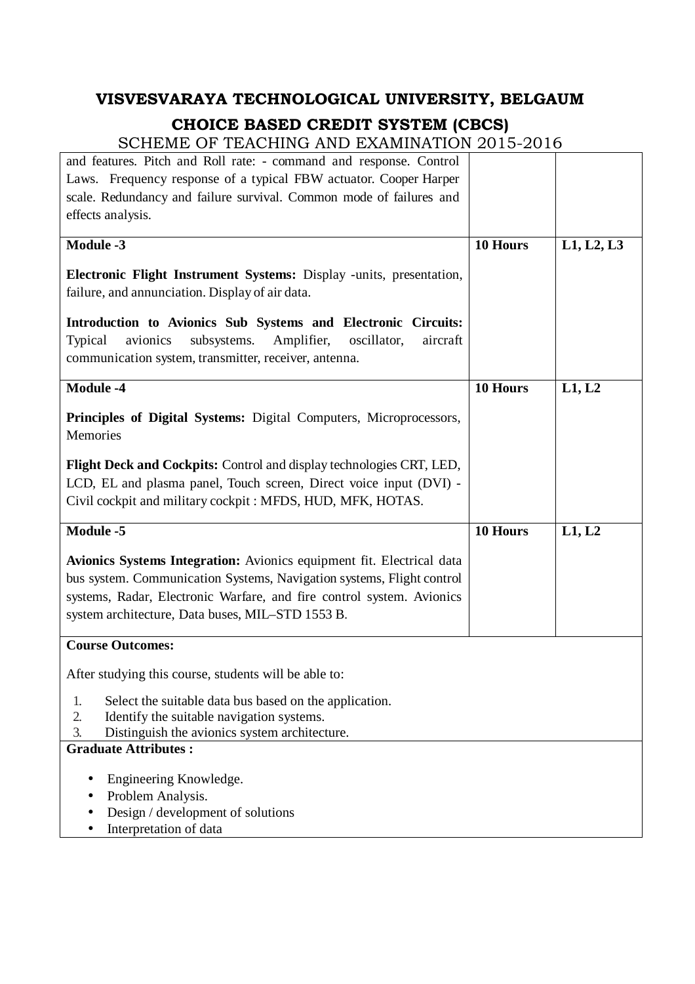| and features. Pitch and Roll rate: - command and response. Control           |          |            |
|------------------------------------------------------------------------------|----------|------------|
| Laws. Frequency response of a typical FBW actuator. Cooper Harper            |          |            |
| scale. Redundancy and failure survival. Common mode of failures and          |          |            |
| effects analysis.                                                            |          |            |
|                                                                              |          |            |
| <b>Module -3</b>                                                             | 10 Hours | L1, L2, L3 |
| Electronic Flight Instrument Systems: Display -units, presentation,          |          |            |
| failure, and annunciation. Display of air data.                              |          |            |
|                                                                              |          |            |
| Introduction to Avionics Sub Systems and Electronic Circuits:                |          |            |
| avionics<br>subsystems.<br>Amplifier,<br>oscillator,<br>Typical<br>aircraft  |          |            |
|                                                                              |          |            |
| communication system, transmitter, receiver, antenna.                        |          |            |
| <b>Module -4</b>                                                             | 10 Hours | L1, L2     |
|                                                                              |          |            |
| Principles of Digital Systems: Digital Computers, Microprocessors,           |          |            |
| Memories                                                                     |          |            |
|                                                                              |          |            |
| Flight Deck and Cockpits: Control and display technologies CRT, LED,         |          |            |
| LCD, EL and plasma panel, Touch screen, Direct voice input (DVI) -           |          |            |
| Civil cockpit and military cockpit : MFDS, HUD, MFK, HOTAS.                  |          |            |
|                                                                              |          |            |
|                                                                              |          |            |
| <b>Module -5</b>                                                             | 10 Hours | L1, L2     |
|                                                                              |          |            |
| Avionics Systems Integration: Avionics equipment fit. Electrical data        |          |            |
| bus system. Communication Systems, Navigation systems, Flight control        |          |            |
| systems, Radar, Electronic Warfare, and fire control system. Avionics        |          |            |
| system architecture, Data buses, MIL-STD 1553 B.                             |          |            |
|                                                                              |          |            |
| <b>Course Outcomes:</b>                                                      |          |            |
| After studying this course, students will be able to:                        |          |            |
| Select the suitable data bus based on the application.<br>1.                 |          |            |
| 2.                                                                           |          |            |
| Identify the suitable navigation systems.<br>3.                              |          |            |
| Distinguish the avionics system architecture.<br><b>Graduate Attributes:</b> |          |            |
|                                                                              |          |            |
| Engineering Knowledge.                                                       |          |            |
| Problem Analysis.                                                            |          |            |
| Design / development of solutions                                            |          |            |
| Interpretation of data                                                       |          |            |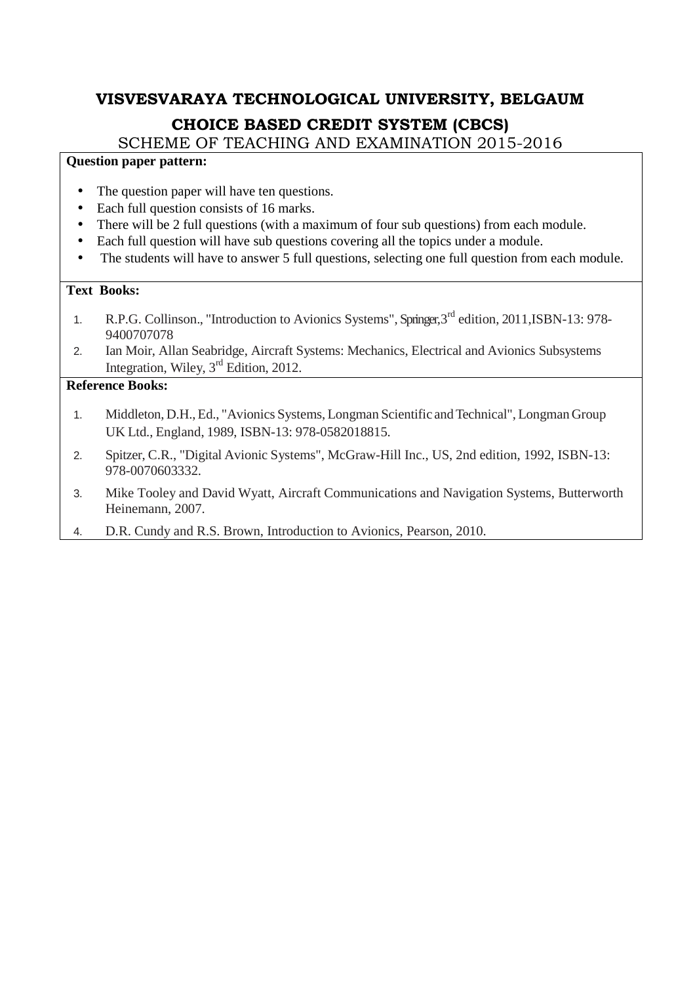SCHEME OF TEACHING AND EXAMINATION 2015-2016

#### **Question paper pattern:**

- The question paper will have ten questions.
- Each full question consists of 16 marks.
- There will be 2 full questions (with a maximum of four sub questions) from each module.
- Each full question will have sub questions covering all the topics under a module.
- The students will have to answer 5 full questions, selecting one full question from each module.

#### **Text Books:**

- 1. R.P.G. Collinson., "Introduction to Avionics Systems", Springer, 3<sup>rd</sup> edition, 2011, ISBN-13: 978-9400707078
- 2. Ian Moir, Allan Seabridge, Aircraft Systems: Mechanics, Electrical and Avionics Subsystems Integration, Wiley, 3rd Edition, 2012.

- 1. Middleton, D.H., Ed., "Avionics Systems, Longman Scientific and Technical", Longman Group UK Ltd., England, 1989, ISBN-13: 978-0582018815.
- 2. Spitzer, C.R., "Digital Avionic Systems", McGraw-Hill Inc., US, 2nd edition, 1992, ISBN-13: 978-0070603332.
- 3. Mike Tooley and David Wyatt, Aircraft Communications and Navigation Systems, Butterworth Heinemann, 2007.
- 4. D.R. Cundy and R.S. Brown, Introduction to Avionics, Pearson, 2010.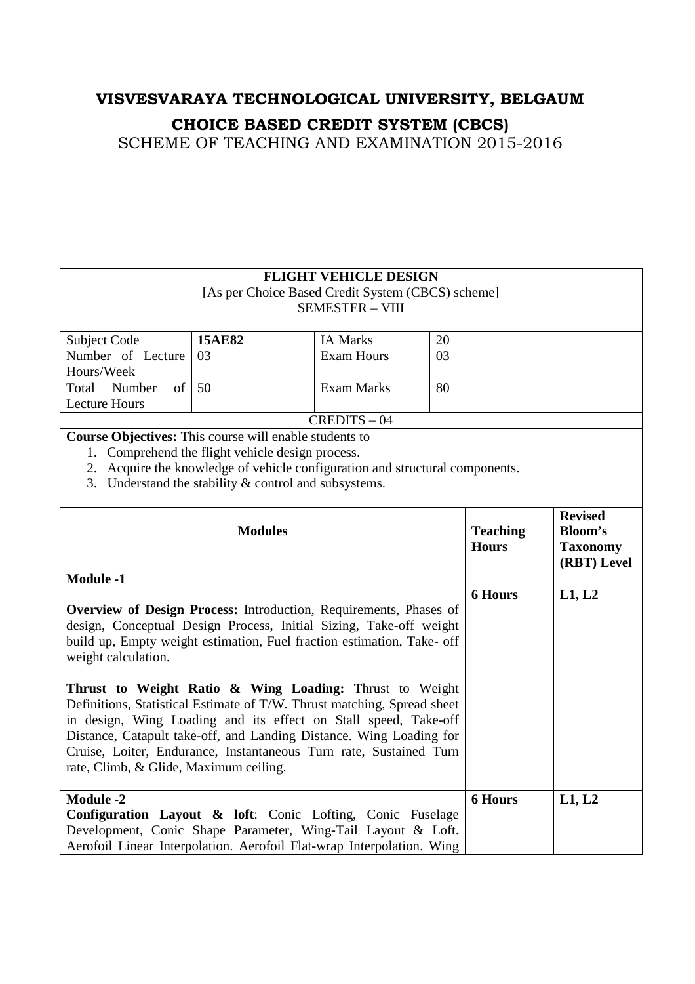|                                                                                                                                                                                                                                                                                                                                                                                                                                                                                                                                                                                                                                          |                                                                              | <b>FLIGHT VEHICLE DESIGN</b><br>[As per Choice Based Credit System (CBCS) scheme]<br><b>SEMESTER - VIII</b> |          |                                 |                                                             |
|------------------------------------------------------------------------------------------------------------------------------------------------------------------------------------------------------------------------------------------------------------------------------------------------------------------------------------------------------------------------------------------------------------------------------------------------------------------------------------------------------------------------------------------------------------------------------------------------------------------------------------------|------------------------------------------------------------------------------|-------------------------------------------------------------------------------------------------------------|----------|---------------------------------|-------------------------------------------------------------|
|                                                                                                                                                                                                                                                                                                                                                                                                                                                                                                                                                                                                                                          |                                                                              |                                                                                                             |          |                                 |                                                             |
| Subject Code<br>Number of Lecture                                                                                                                                                                                                                                                                                                                                                                                                                                                                                                                                                                                                        | 15AE82<br>03                                                                 | <b>IA Marks</b><br><b>Exam Hours</b>                                                                        | 20<br>03 |                                 |                                                             |
| Hours/Week                                                                                                                                                                                                                                                                                                                                                                                                                                                                                                                                                                                                                               |                                                                              |                                                                                                             |          |                                 |                                                             |
| of<br>Total<br>Number                                                                                                                                                                                                                                                                                                                                                                                                                                                                                                                                                                                                                    | 50                                                                           | <b>Exam Marks</b>                                                                                           | 80       |                                 |                                                             |
| <b>Lecture Hours</b>                                                                                                                                                                                                                                                                                                                                                                                                                                                                                                                                                                                                                     |                                                                              |                                                                                                             |          |                                 |                                                             |
|                                                                                                                                                                                                                                                                                                                                                                                                                                                                                                                                                                                                                                          |                                                                              | $CREDITS - 04$                                                                                              |          |                                 |                                                             |
| Course Objectives: This course will enable students to                                                                                                                                                                                                                                                                                                                                                                                                                                                                                                                                                                                   |                                                                              |                                                                                                             |          |                                 |                                                             |
|                                                                                                                                                                                                                                                                                                                                                                                                                                                                                                                                                                                                                                          | 1. Comprehend the flight vehicle design process.                             |                                                                                                             |          |                                 |                                                             |
|                                                                                                                                                                                                                                                                                                                                                                                                                                                                                                                                                                                                                                          | 2. Acquire the knowledge of vehicle configuration and structural components. |                                                                                                             |          |                                 |                                                             |
|                                                                                                                                                                                                                                                                                                                                                                                                                                                                                                                                                                                                                                          | 3. Understand the stability $&$ control and subsystems.                      |                                                                                                             |          |                                 |                                                             |
|                                                                                                                                                                                                                                                                                                                                                                                                                                                                                                                                                                                                                                          | <b>Modules</b>                                                               |                                                                                                             |          | <b>Teaching</b><br><b>Hours</b> | <b>Revised</b><br>Bloom's<br><b>Taxonomy</b><br>(RBT) Level |
| <b>Module -1</b>                                                                                                                                                                                                                                                                                                                                                                                                                                                                                                                                                                                                                         |                                                                              |                                                                                                             |          |                                 |                                                             |
| Overview of Design Process: Introduction, Requirements, Phases of<br>design, Conceptual Design Process, Initial Sizing, Take-off weight<br>build up, Empty weight estimation, Fuel fraction estimation, Take- off<br>weight calculation.<br>Thrust to Weight Ratio & Wing Loading: Thrust to Weight<br>Definitions, Statistical Estimate of T/W. Thrust matching, Spread sheet<br>in design, Wing Loading and its effect on Stall speed, Take-off<br>Distance, Catapult take-off, and Landing Distance. Wing Loading for<br>Cruise, Loiter, Endurance, Instantaneous Turn rate, Sustained Turn<br>rate, Climb, & Glide, Maximum ceiling. |                                                                              |                                                                                                             |          | <b>6 Hours</b>                  | L1, L2                                                      |
| <b>Module -2</b><br>Configuration Layout & loft: Conic Lofting, Conic Fuselage<br>Development, Conic Shape Parameter, Wing-Tail Layout & Loft.<br>Aerofoil Linear Interpolation. Aerofoil Flat-wrap Interpolation. Wing                                                                                                                                                                                                                                                                                                                                                                                                                  |                                                                              |                                                                                                             |          | <b>6 Hours</b>                  | L1, L2                                                      |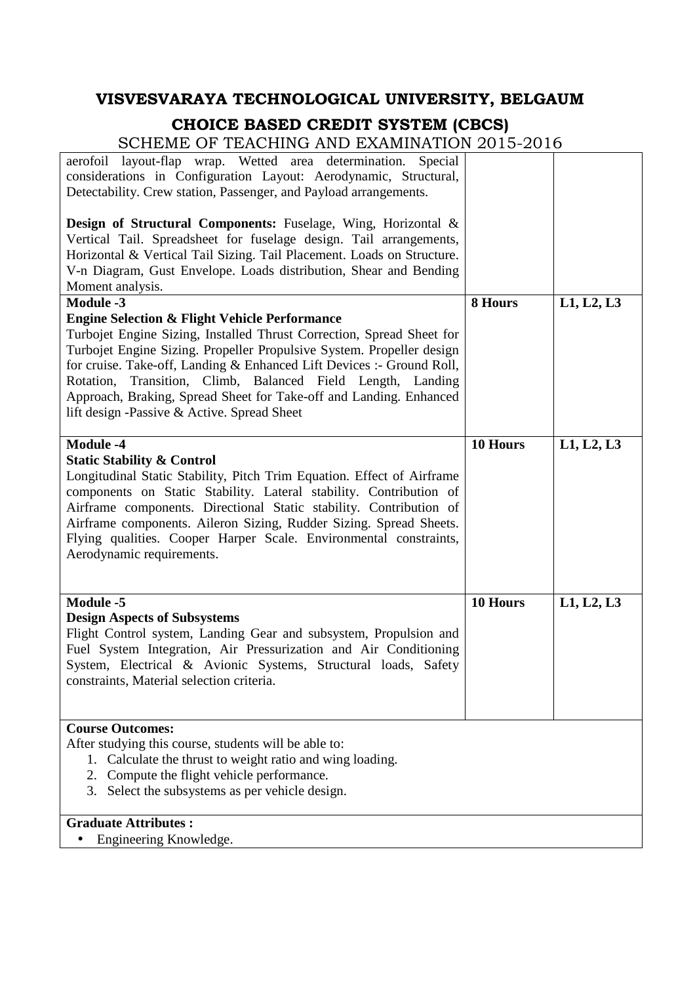### **VISVESVARAYA TECHNOLOGICAL UNIVERSITY, BELGAUM**

### **CHOICE BASED CREDIT SYSTEM (CBCS)**

| <u>Chomo Ce TonChing mid on minimiton 4010</u>                                                                                                                                                                                                                                                                                                                                                                                                                          |          |            |
|-------------------------------------------------------------------------------------------------------------------------------------------------------------------------------------------------------------------------------------------------------------------------------------------------------------------------------------------------------------------------------------------------------------------------------------------------------------------------|----------|------------|
| aerofoil layout-flap wrap. Wetted area determination. Special<br>considerations in Configuration Layout: Aerodynamic, Structural,<br>Detectability. Crew station, Passenger, and Payload arrangements.                                                                                                                                                                                                                                                                  |          |            |
| <b>Design of Structural Components:</b> Fuselage, Wing, Horizontal &<br>Vertical Tail. Spreadsheet for fuselage design. Tail arrangements,<br>Horizontal & Vertical Tail Sizing. Tail Placement. Loads on Structure.<br>V-n Diagram, Gust Envelope. Loads distribution, Shear and Bending<br>Moment analysis.                                                                                                                                                           |          |            |
| <b>Module -3</b>                                                                                                                                                                                                                                                                                                                                                                                                                                                        | 8 Hours  | L1, L2, L3 |
| <b>Engine Selection &amp; Flight Vehicle Performance</b><br>Turbojet Engine Sizing, Installed Thrust Correction, Spread Sheet for<br>Turbojet Engine Sizing. Propeller Propulsive System. Propeller design<br>for cruise. Take-off, Landing & Enhanced Lift Devices :- Ground Roll,<br>Rotation, Transition, Climb, Balanced Field Length, Landing<br>Approach, Braking, Spread Sheet for Take-off and Landing. Enhanced<br>lift design -Passive & Active. Spread Sheet |          |            |
| <b>Module -4</b><br><b>Static Stability &amp; Control</b><br>Longitudinal Static Stability, Pitch Trim Equation. Effect of Airframe<br>components on Static Stability. Lateral stability. Contribution of<br>Airframe components. Directional Static stability. Contribution of<br>Airframe components. Aileron Sizing, Rudder Sizing. Spread Sheets.<br>Flying qualities. Cooper Harper Scale. Environmental constraints,<br>Aerodynamic requirements.                 | 10 Hours | L1, L2, L3 |
| Module -5<br><b>Design Aspects of Subsystems</b><br>Flight Control system, Landing Gear and subsystem, Propulsion and<br>Fuel System Integration, Air Pressurization and Air Conditioning<br>System, Electrical & Avionic Systems, Structural loads, Safety<br>constraints, Material selection criteria.                                                                                                                                                                | 10 Hours | L1, L2, L3 |
| <b>Course Outcomes:</b><br>After studying this course, students will be able to:<br>Calculate the thrust to weight ratio and wing loading.<br>1.<br>2. Compute the flight vehicle performance.<br>3. Select the subsystems as per vehicle design.                                                                                                                                                                                                                       |          |            |
|                                                                                                                                                                                                                                                                                                                                                                                                                                                                         |          |            |
| <b>Graduate Attributes:</b>                                                                                                                                                                                                                                                                                                                                                                                                                                             |          |            |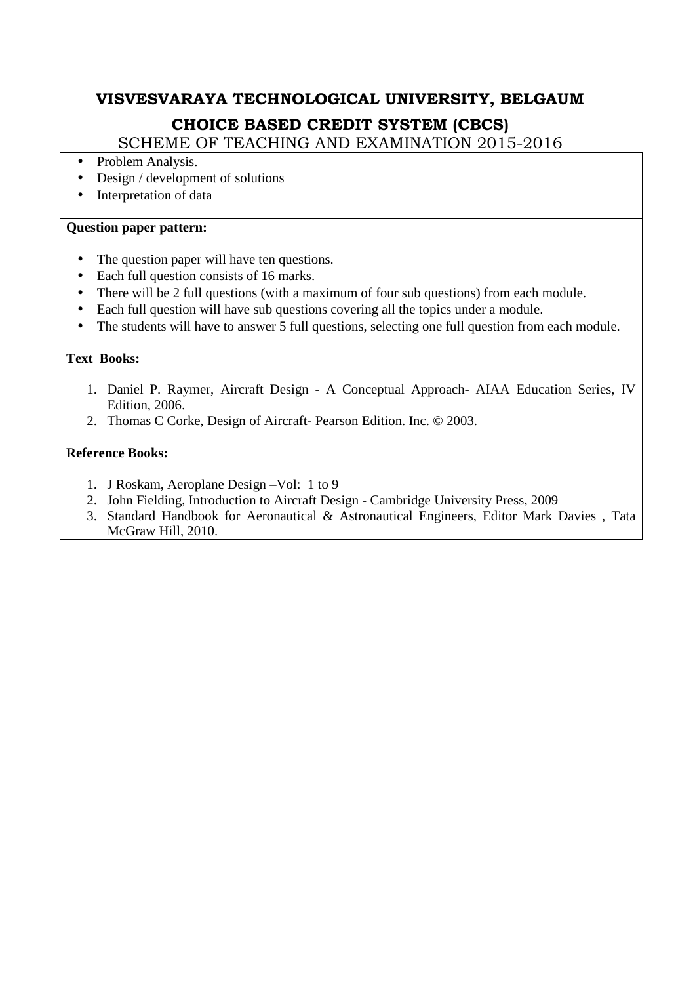SCHEME OF TEACHING AND EXAMINATION 2015-2016

- Problem Analysis.
- Design / development of solutions
- Interpretation of data

#### **Question paper pattern:**

- The question paper will have ten questions.
- Each full question consists of 16 marks.
- There will be 2 full questions (with a maximum of four sub questions) from each module.
- Each full question will have sub questions covering all the topics under a module.
- The students will have to answer 5 full questions, selecting one full question from each module.

#### **Text Books:**

- 1. Daniel P. Raymer, Aircraft Design A Conceptual Approach- AIAA Education Series, IV Edition, 2006.
- 2. Thomas C Corke, Design of Aircraft- Pearson Edition. Inc. © 2003.

- 1. J Roskam, Aeroplane Design –Vol: 1 to 9
- 2. John Fielding, Introduction to Aircraft Design Cambridge University Press, 2009
- 3. Standard Handbook for Aeronautical & Astronautical Engineers, Editor Mark Davies , Tata McGraw Hill, 2010.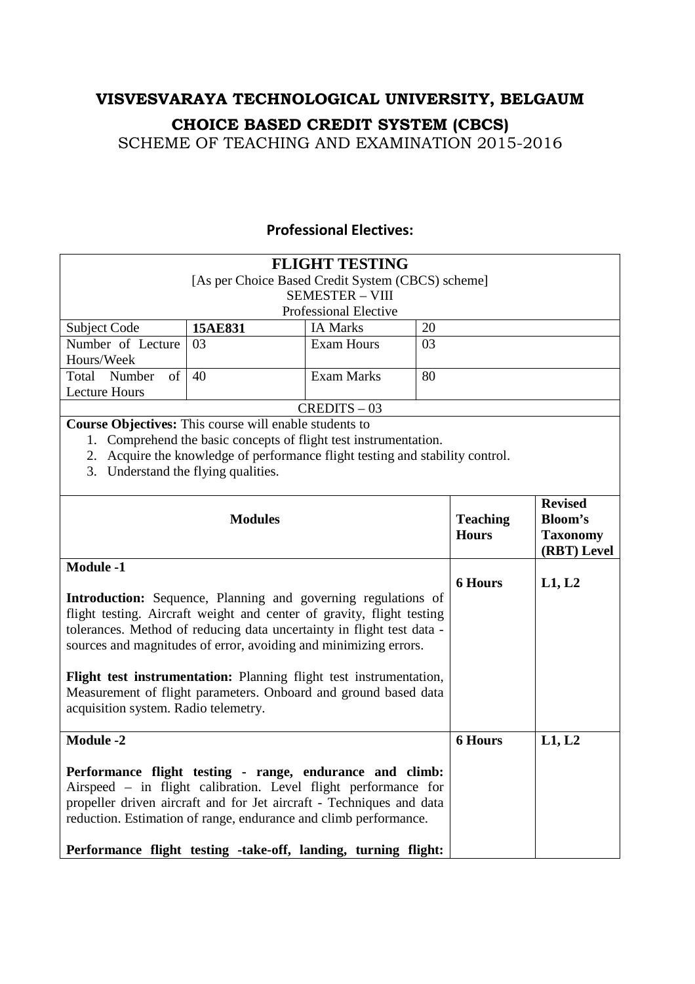SCHEME OF TEACHING AND EXAMINATION 2015-2016

### **Professional Electives:**

|                                                                                                                                                                                                                                                                        |                                                                               | <b>FLIGHT TESTING</b><br>[As per Choice Based Credit System (CBCS) scheme]<br><b>SEMESTER - VIII</b> |    |                 |                 |
|------------------------------------------------------------------------------------------------------------------------------------------------------------------------------------------------------------------------------------------------------------------------|-------------------------------------------------------------------------------|------------------------------------------------------------------------------------------------------|----|-----------------|-----------------|
|                                                                                                                                                                                                                                                                        |                                                                               | Professional Elective                                                                                |    |                 |                 |
| <b>Subject Code</b>                                                                                                                                                                                                                                                    | 15AE831                                                                       | <b>IA Marks</b>                                                                                      | 20 |                 |                 |
| Number of Lecture                                                                                                                                                                                                                                                      | 03                                                                            | <b>Exam Hours</b>                                                                                    | 03 |                 |                 |
| Hours/Week                                                                                                                                                                                                                                                             |                                                                               |                                                                                                      |    |                 |                 |
| Total Number<br>$\sigma$                                                                                                                                                                                                                                               | 40                                                                            | <b>Exam Marks</b>                                                                                    | 80 |                 |                 |
| <b>Lecture Hours</b>                                                                                                                                                                                                                                                   |                                                                               |                                                                                                      |    |                 |                 |
|                                                                                                                                                                                                                                                                        |                                                                               | $CREDITS - 03$                                                                                       |    |                 |                 |
| Course Objectives: This course will enable students to                                                                                                                                                                                                                 |                                                                               |                                                                                                      |    |                 |                 |
|                                                                                                                                                                                                                                                                        | 1. Comprehend the basic concepts of flight test instrumentation.              |                                                                                                      |    |                 |                 |
|                                                                                                                                                                                                                                                                        | 2. Acquire the knowledge of performance flight testing and stability control. |                                                                                                      |    |                 |                 |
| 3. Understand the flying qualities.                                                                                                                                                                                                                                    |                                                                               |                                                                                                      |    |                 |                 |
|                                                                                                                                                                                                                                                                        |                                                                               |                                                                                                      |    |                 | <b>Revised</b>  |
|                                                                                                                                                                                                                                                                        | <b>Modules</b>                                                                |                                                                                                      |    | <b>Teaching</b> | <b>Bloom's</b>  |
|                                                                                                                                                                                                                                                                        |                                                                               |                                                                                                      |    | <b>Hours</b>    | <b>Taxonomy</b> |
|                                                                                                                                                                                                                                                                        |                                                                               |                                                                                                      |    |                 | (RBT) Level     |
| <b>Module -1</b>                                                                                                                                                                                                                                                       |                                                                               |                                                                                                      |    |                 |                 |
|                                                                                                                                                                                                                                                                        |                                                                               |                                                                                                      |    | <b>6 Hours</b>  | L1, L2          |
| Introduction: Sequence, Planning and governing regulations of                                                                                                                                                                                                          |                                                                               |                                                                                                      |    |                 |                 |
| flight testing. Aircraft weight and center of gravity, flight testing                                                                                                                                                                                                  |                                                                               |                                                                                                      |    |                 |                 |
| tolerances. Method of reducing data uncertainty in flight test data -                                                                                                                                                                                                  |                                                                               |                                                                                                      |    |                 |                 |
| sources and magnitudes of error, avoiding and minimizing errors.                                                                                                                                                                                                       |                                                                               |                                                                                                      |    |                 |                 |
|                                                                                                                                                                                                                                                                        |                                                                               |                                                                                                      |    |                 |                 |
| Flight test instrumentation: Planning flight test instrumentation,                                                                                                                                                                                                     |                                                                               |                                                                                                      |    |                 |                 |
| Measurement of flight parameters. Onboard and ground based data                                                                                                                                                                                                        |                                                                               |                                                                                                      |    |                 |                 |
| acquisition system. Radio telemetry.                                                                                                                                                                                                                                   |                                                                               |                                                                                                      |    |                 |                 |
| <b>Module -2</b>                                                                                                                                                                                                                                                       |                                                                               |                                                                                                      |    | <b>6 Hours</b>  | L1, L2          |
|                                                                                                                                                                                                                                                                        |                                                                               |                                                                                                      |    |                 |                 |
| Performance flight testing - range, endurance and climb:<br>Airspeed - in flight calibration. Level flight performance for<br>propeller driven aircraft and for Jet aircraft - Techniques and data<br>reduction. Estimation of range, endurance and climb performance. |                                                                               |                                                                                                      |    |                 |                 |
| Performance flight testing -take-off, landing, turning flight:                                                                                                                                                                                                         |                                                                               |                                                                                                      |    |                 |                 |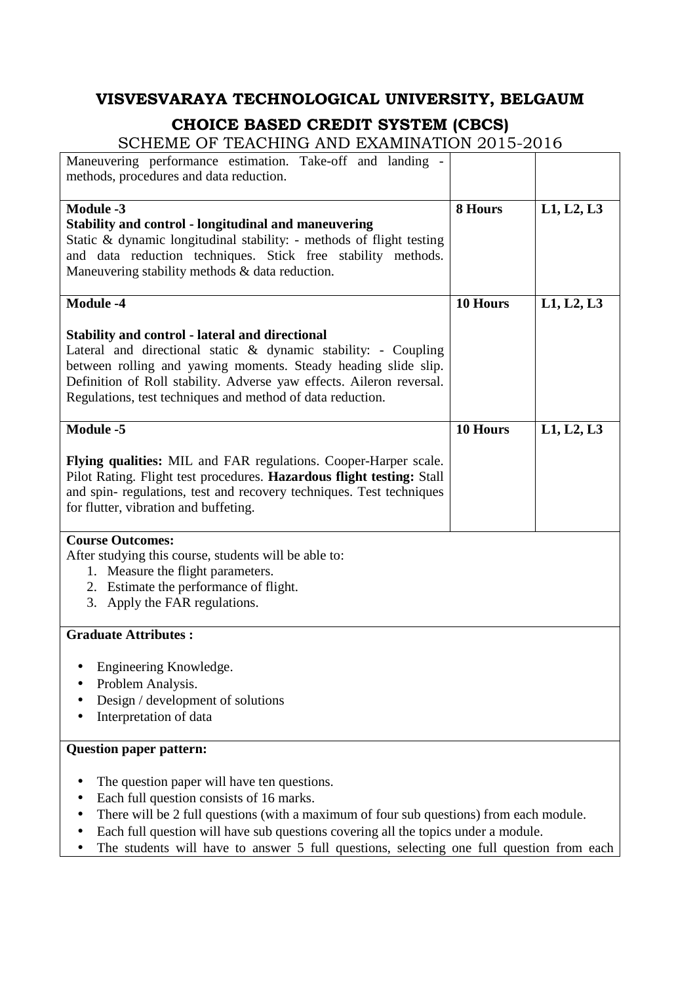| Maneuvering performance estimation. Take-off and landing -<br>methods, procedures and data reduction.                                                                                                                                                                                                                                                                |          |            |
|----------------------------------------------------------------------------------------------------------------------------------------------------------------------------------------------------------------------------------------------------------------------------------------------------------------------------------------------------------------------|----------|------------|
| <b>Module -3</b><br><b>Stability and control - longitudinal and maneuvering</b><br>Static & dynamic longitudinal stability: - methods of flight testing<br>and data reduction techniques. Stick free stability methods.<br>Maneuvering stability methods & data reduction.                                                                                           | 8 Hours  | L1, L2, L3 |
| <b>Module -4</b>                                                                                                                                                                                                                                                                                                                                                     | 10 Hours | L1, L2, L3 |
| <b>Stability and control - lateral and directional</b><br>Lateral and directional static & dynamic stability: - Coupling<br>between rolling and yawing moments. Steady heading slide slip.<br>Definition of Roll stability. Adverse yaw effects. Aileron reversal.<br>Regulations, test techniques and method of data reduction.                                     |          |            |
| <b>Module -5</b>                                                                                                                                                                                                                                                                                                                                                     | 10 Hours | L1, L2, L3 |
| Flying qualities: MIL and FAR regulations. Cooper-Harper scale.<br>Pilot Rating. Flight test procedures. Hazardous flight testing: Stall<br>and spin-regulations, test and recovery techniques. Test techniques<br>for flutter, vibration and buffeting.                                                                                                             |          |            |
| <b>Course Outcomes:</b><br>After studying this course, students will be able to:<br>1. Measure the flight parameters.<br>2. Estimate the performance of flight.<br>3. Apply the FAR regulations.                                                                                                                                                                     |          |            |
| <b>Graduate Attributes:</b>                                                                                                                                                                                                                                                                                                                                          |          |            |
| Engineering Knowledge.<br>Problem Analysis.<br>Design / development of solutions<br>Interpretation of data                                                                                                                                                                                                                                                           |          |            |
| <b>Question paper pattern:</b>                                                                                                                                                                                                                                                                                                                                       |          |            |
| The question paper will have ten questions.<br>Each full question consists of 16 marks.<br>There will be 2 full questions (with a maximum of four sub questions) from each module.<br>Each full question will have sub questions covering all the topics under a module.<br>The students will have to answer 5 full questions, selecting one full question from each |          |            |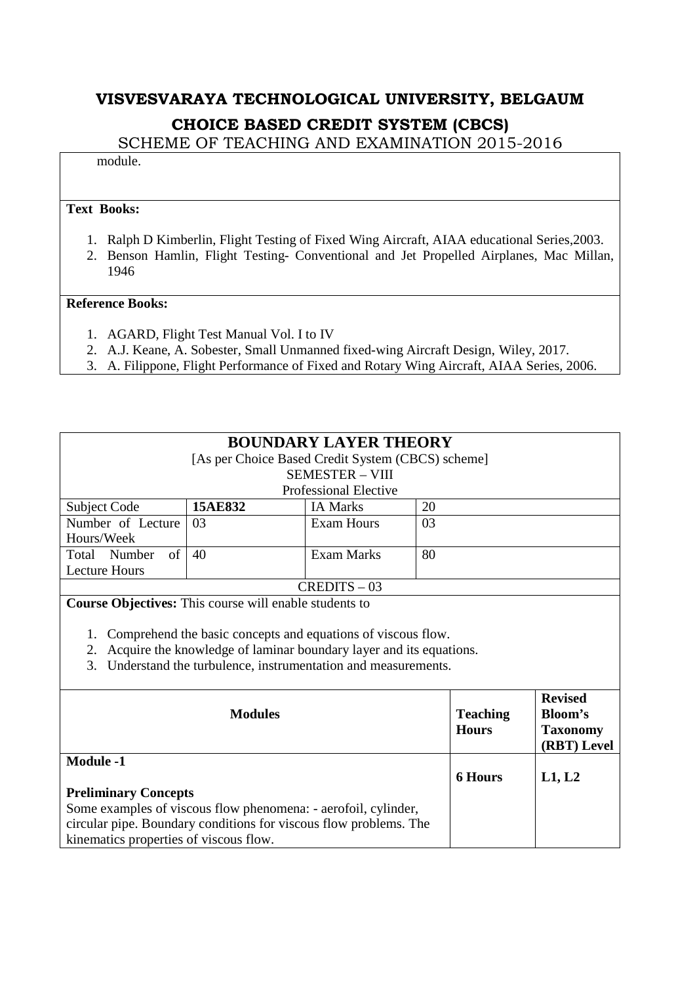SCHEME OF TEACHING AND EXAMINATION 2015-2016

module.

#### **Text Books:**

- 1. Ralph D Kimberlin, Flight Testing of Fixed Wing Aircraft, AIAA educational Series,2003.
- 2. Benson Hamlin, Flight Testing- Conventional and Jet Propelled Airplanes, Mac Millan, 1946

- 1. AGARD, Flight Test Manual Vol. I to IV
- 2. A.J. Keane, A. Sobester, Small Unmanned fixed-wing Aircraft Design, Wiley, 2017.
- 3. A. Filippone, Flight Performance of Fixed and Rotary Wing Aircraft, AIAA Series, 2006.

| <b>BOUNDARY LAYER THEORY</b>                                      |                              |                                                                    |    |                 |                 |  |
|-------------------------------------------------------------------|------------------------------|--------------------------------------------------------------------|----|-----------------|-----------------|--|
| [As per Choice Based Credit System (CBCS) scheme]                 |                              |                                                                    |    |                 |                 |  |
| <b>SEMESTER - VIII</b>                                            |                              |                                                                    |    |                 |                 |  |
|                                                                   | <b>Professional Elective</b> |                                                                    |    |                 |                 |  |
| Subject Code                                                      | 15AE832                      | <b>IA Marks</b>                                                    | 20 |                 |                 |  |
| Number of Lecture                                                 | 03                           | <b>Exam Hours</b>                                                  | 03 |                 |                 |  |
| Hours/Week                                                        |                              |                                                                    |    |                 |                 |  |
| of<br>Total Number                                                | 40                           | <b>Exam Marks</b>                                                  | 80 |                 |                 |  |
| <b>Lecture Hours</b>                                              |                              |                                                                    |    |                 |                 |  |
|                                                                   |                              | $CREDITS - 03$                                                     |    |                 |                 |  |
| <b>Course Objectives:</b> This course will enable students to     |                              |                                                                    |    |                 |                 |  |
|                                                                   |                              |                                                                    |    |                 |                 |  |
| 1.                                                                |                              | Comprehend the basic concepts and equations of viscous flow.       |    |                 |                 |  |
| 2.                                                                |                              | Acquire the knowledge of laminar boundary layer and its equations. |    |                 |                 |  |
| 3.                                                                |                              | Understand the turbulence, instrumentation and measurements.       |    |                 |                 |  |
|                                                                   |                              |                                                                    |    |                 |                 |  |
|                                                                   |                              |                                                                    |    |                 | <b>Revised</b>  |  |
|                                                                   | <b>Modules</b>               |                                                                    |    | <b>Teaching</b> | Bloom's         |  |
|                                                                   |                              |                                                                    |    | <b>Hours</b>    | <b>Taxonomy</b> |  |
|                                                                   |                              |                                                                    |    |                 | (RBT) Level     |  |
| <b>Module -1</b>                                                  |                              |                                                                    |    |                 |                 |  |
|                                                                   |                              |                                                                    |    | <b>6 Hours</b>  | L1, L2          |  |
| <b>Preliminary Concepts</b>                                       |                              |                                                                    |    |                 |                 |  |
| Some examples of viscous flow phenomena: - aerofoil, cylinder,    |                              |                                                                    |    |                 |                 |  |
| circular pipe. Boundary conditions for viscous flow problems. The |                              |                                                                    |    |                 |                 |  |
| kinematics properties of viscous flow.                            |                              |                                                                    |    |                 |                 |  |
|                                                                   |                              |                                                                    |    |                 |                 |  |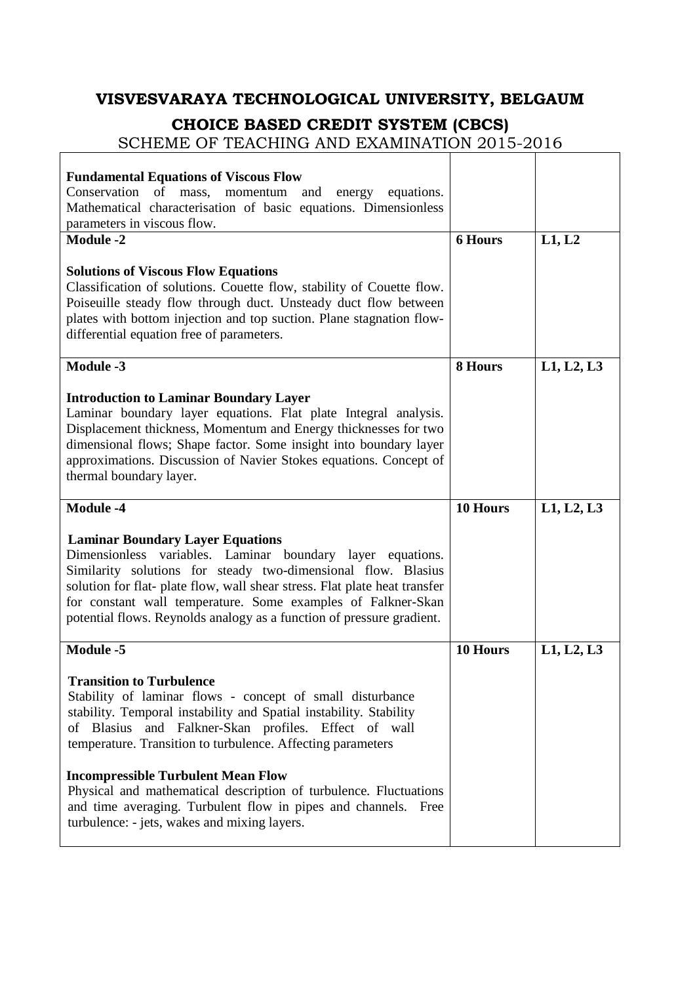### **VISVESVARAYA TECHNOLOGICAL UNIVERSITY, BELGAUM**

### **CHOICE BASED CREDIT SYSTEM (CBCS)**

SCHEME OF TEACHING AND EXAMINATION 2015-2016

 $\mathsf{r}$ 

| <b>Fundamental Equations of Viscous Flow</b><br>Conservation<br>of<br>mass,<br>momentum and<br>energy<br>equations.<br>Mathematical characterisation of basic equations. Dimensionless<br>parameters in viscous flow.                                                                                                                                                                            |                |            |
|--------------------------------------------------------------------------------------------------------------------------------------------------------------------------------------------------------------------------------------------------------------------------------------------------------------------------------------------------------------------------------------------------|----------------|------------|
| <b>Module -2</b>                                                                                                                                                                                                                                                                                                                                                                                 | <b>6 Hours</b> | L1, L2     |
| <b>Solutions of Viscous Flow Equations</b><br>Classification of solutions. Couette flow, stability of Couette flow.<br>Poiseuille steady flow through duct. Unsteady duct flow between<br>plates with bottom injection and top suction. Plane stagnation flow-<br>differential equation free of parameters.                                                                                      |                |            |
| <b>Module -3</b>                                                                                                                                                                                                                                                                                                                                                                                 | 8 Hours        | L1, L2, L3 |
| <b>Introduction to Laminar Boundary Layer</b><br>Laminar boundary layer equations. Flat plate Integral analysis.<br>Displacement thickness, Momentum and Energy thicknesses for two<br>dimensional flows; Shape factor. Some insight into boundary layer<br>approximations. Discussion of Navier Stokes equations. Concept of<br>thermal boundary layer.                                         |                |            |
| <b>Module -4</b>                                                                                                                                                                                                                                                                                                                                                                                 | 10 Hours       | L1, L2, L3 |
|                                                                                                                                                                                                                                                                                                                                                                                                  |                |            |
| <b>Laminar Boundary Layer Equations</b><br>variables. Laminar boundary layer equations.<br>Dimensionless<br>Similarity solutions for steady two-dimensional flow. Blasius<br>solution for flat- plate flow, wall shear stress. Flat plate heat transfer<br>for constant wall temperature. Some examples of Falkner-Skan<br>potential flows. Reynolds analogy as a function of pressure gradient. |                |            |
| <b>Module -5</b>                                                                                                                                                                                                                                                                                                                                                                                 | 10 Hours       | L1, L2, L3 |
| <b>Transition to Turbulence</b><br>Stability of laminar flows - concept of small disturbance<br>stability. Temporal instability and Spatial instability. Stability<br>of Blasius and Falkner-Skan profiles. Effect of wall<br>temperature. Transition to turbulence. Affecting parameters                                                                                                        |                |            |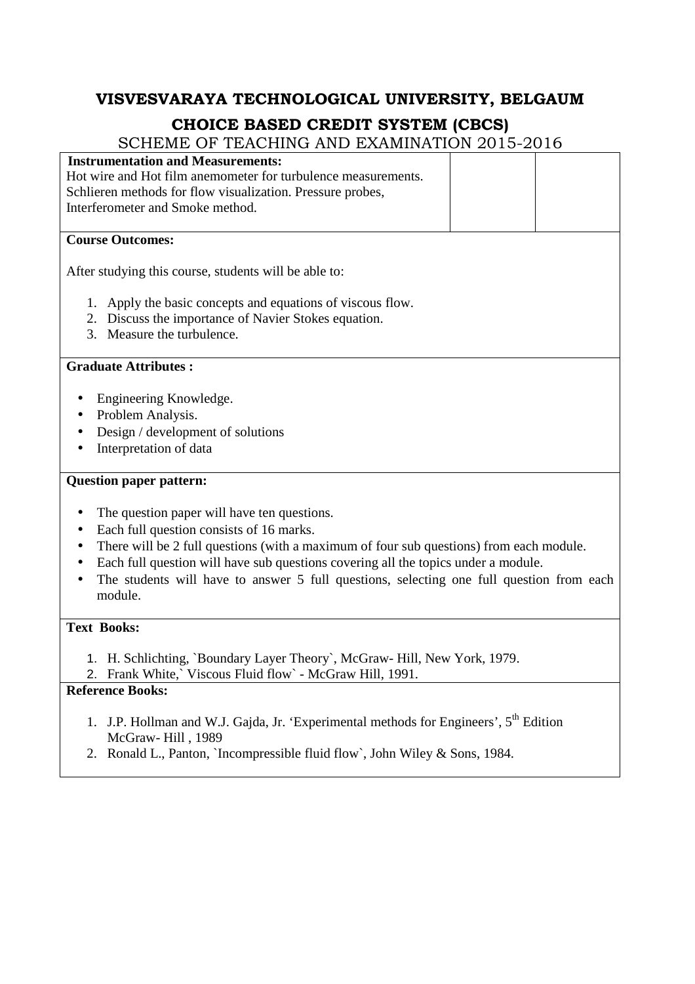SCHEME OF TEACHING AND EXAMINATION 2015-2016

| <b>Instrumentation and Measurements:</b>                                                              |
|-------------------------------------------------------------------------------------------------------|
| Hot wire and Hot film anemometer for turbulence measurements.                                         |
| Schlieren methods for flow visualization. Pressure probes,                                            |
| Interferometer and Smoke method.                                                                      |
|                                                                                                       |
| <b>Course Outcomes:</b>                                                                               |
| After studying this course, students will be able to:                                                 |
| 1. Apply the basic concepts and equations of viscous flow.                                            |
| 2. Discuss the importance of Navier Stokes equation.                                                  |
| 3. Measure the turbulence.                                                                            |
|                                                                                                       |
| <b>Graduate Attributes:</b>                                                                           |
|                                                                                                       |
| Engineering Knowledge.<br>Problem Analysis.                                                           |
|                                                                                                       |
| Design / development of solutions                                                                     |
| Interpretation of data                                                                                |
| <b>Question paper pattern:</b>                                                                        |
| The question paper will have ten questions.<br>$\bullet$                                              |
| Each full question consists of 16 marks.                                                              |
| There will be 2 full questions (with a maximum of four sub questions) from each module.               |
| Each full question will have sub questions covering all the topics under a module.                    |
| The students will have to answer 5 full questions, selecting one full question from each              |
| module.                                                                                               |
|                                                                                                       |
| <b>Text Books:</b>                                                                                    |
|                                                                                                       |
| 1. H. Schlichting, `Boundary Layer Theory`, McGraw-Hill, New York, 1979.                              |
| 2. Frank White,` Viscous Fluid flow` - McGraw Hill, 1991.<br>$\mathbf{D}$ ofonongo $\mathbf{D}$ oglas |
|                                                                                                       |

- 1. J.P. Hollman and W.J. Gajda, Jr. 'Experimental methods for Engineers',  $5^{th}$  Edition McGraw- Hill , 1989
- 2. Ronald L., Panton, `Incompressible fluid flow`, John Wiley & Sons, 1984.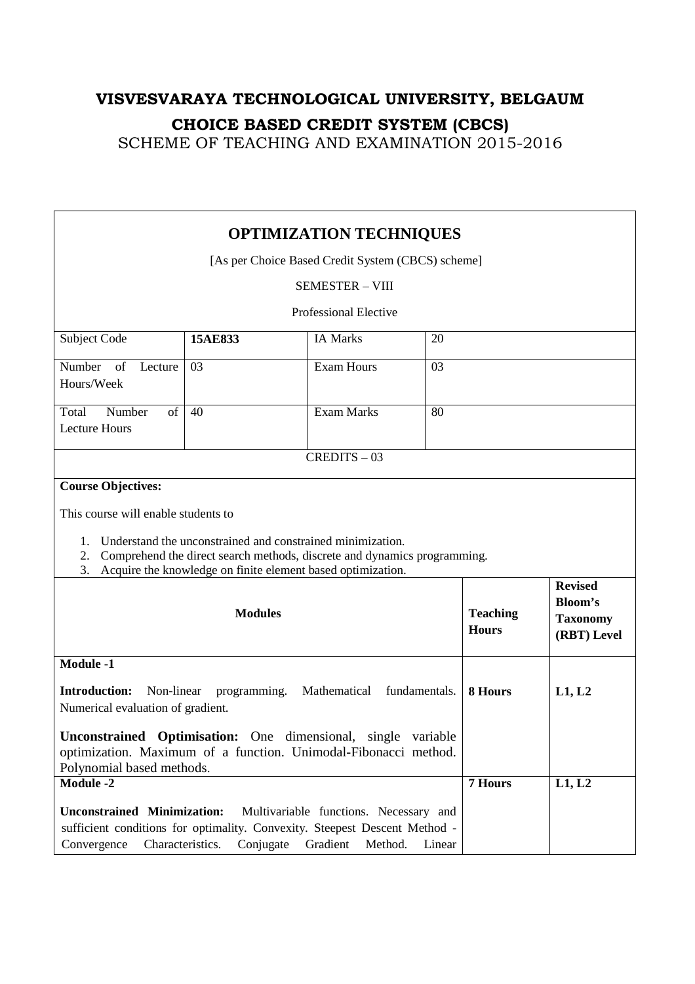| <b>OPTIMIZATION TECHNIQUES</b>                                                                                                                                                                                                              |         |                                                                          |    |                                 |                                                  |
|---------------------------------------------------------------------------------------------------------------------------------------------------------------------------------------------------------------------------------------------|---------|--------------------------------------------------------------------------|----|---------------------------------|--------------------------------------------------|
| [As per Choice Based Credit System (CBCS) scheme]                                                                                                                                                                                           |         |                                                                          |    |                                 |                                                  |
|                                                                                                                                                                                                                                             |         | <b>SEMESTER - VIII</b>                                                   |    |                                 |                                                  |
|                                                                                                                                                                                                                                             |         | <b>Professional Elective</b>                                             |    |                                 |                                                  |
| Subject Code                                                                                                                                                                                                                                | 15AE833 | <b>IA Marks</b>                                                          | 20 |                                 |                                                  |
|                                                                                                                                                                                                                                             |         |                                                                          |    |                                 |                                                  |
| Number<br>of<br>Lecture<br>Hours/Week                                                                                                                                                                                                       | 03      | <b>Exam Hours</b>                                                        | 03 |                                 |                                                  |
|                                                                                                                                                                                                                                             |         |                                                                          |    |                                 |                                                  |
| Number<br>of<br>Total<br><b>Lecture Hours</b>                                                                                                                                                                                               | 40      | Exam Marks                                                               | 80 |                                 |                                                  |
|                                                                                                                                                                                                                                             |         |                                                                          |    |                                 |                                                  |
|                                                                                                                                                                                                                                             |         | $CREDITS - 03$                                                           |    |                                 |                                                  |
| <b>Course Objectives:</b>                                                                                                                                                                                                                   |         |                                                                          |    |                                 |                                                  |
| This course will enable students to                                                                                                                                                                                                         |         |                                                                          |    |                                 |                                                  |
| 1.                                                                                                                                                                                                                                          |         | Understand the unconstrained and constrained minimization.               |    |                                 |                                                  |
| 2.                                                                                                                                                                                                                                          |         | Comprehend the direct search methods, discrete and dynamics programming. |    |                                 |                                                  |
| 3.                                                                                                                                                                                                                                          |         | Acquire the knowledge on finite element based optimization.              |    |                                 | <b>Revised</b>                                   |
| <b>Modules</b>                                                                                                                                                                                                                              |         |                                                                          |    | <b>Teaching</b><br><b>Hours</b> | <b>Bloom's</b><br><b>Taxonomy</b><br>(RBT) Level |
| <b>Module -1</b>                                                                                                                                                                                                                            |         |                                                                          |    |                                 |                                                  |
| <b>Introduction:</b><br>Mathematical<br>Non-linear<br>programming.<br>fundamentals.<br>Numerical evaluation of gradient.                                                                                                                    |         |                                                                          |    | 8 Hours                         | L1, L2                                           |
| Unconstrained Optimisation: One dimensional, single variable<br>optimization. Maximum of a function. Unimodal-Fibonacci method.<br>Polynomial based methods.                                                                                |         |                                                                          |    |                                 |                                                  |
| <b>Module -2</b>                                                                                                                                                                                                                            |         |                                                                          |    | 7 Hours                         | L1, L2                                           |
| <b>Unconstrained Minimization:</b><br>Multivariable functions. Necessary and<br>sufficient conditions for optimality. Convexity. Steepest Descent Method -<br>Conjugate<br>Convergence<br>Characteristics.<br>Gradient<br>Method.<br>Linear |         |                                                                          |    |                                 |                                                  |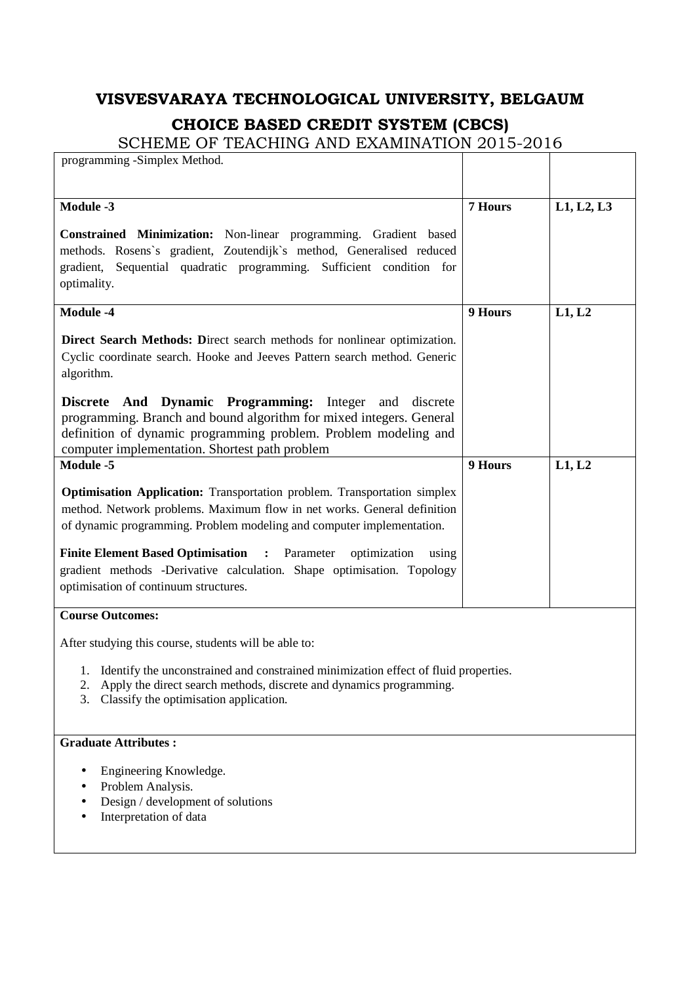| programming -Simplex Method.                                                           |         |            |
|----------------------------------------------------------------------------------------|---------|------------|
|                                                                                        |         |            |
|                                                                                        |         |            |
| <b>Module -3</b>                                                                       | 7 Hours | L1, L2, L3 |
| Constrained Minimization: Non-linear programming. Gradient based                       |         |            |
| methods. Rosens's gradient, Zoutendijk's method, Generalised reduced                   |         |            |
| gradient, Sequential quadratic programming. Sufficient condition for                   |         |            |
| optimality.                                                                            |         |            |
|                                                                                        |         |            |
| <b>Module -4</b>                                                                       | 9 Hours | L1, L2     |
| Direct Search Methods: Direct search methods for nonlinear optimization.               |         |            |
| Cyclic coordinate search. Hooke and Jeeves Pattern search method. Generic              |         |            |
| algorithm.                                                                             |         |            |
|                                                                                        |         |            |
| Discrete And Dynamic Programming: Integer<br>discrete<br>and                           |         |            |
| programming. Branch and bound algorithm for mixed integers. General                    |         |            |
| definition of dynamic programming problem. Problem modeling and                        |         |            |
| computer implementation. Shortest path problem                                         |         |            |
| Module -5                                                                              | 9 Hours | L1, L2     |
| <b>Optimisation Application:</b> Transportation problem. Transportation simplex        |         |            |
| method. Network problems. Maximum flow in net works. General definition                |         |            |
| of dynamic programming. Problem modeling and computer implementation.                  |         |            |
|                                                                                        |         |            |
| <b>Finite Element Based Optimisation : Parameter</b><br>optimization<br>using          |         |            |
| gradient methods -Derivative calculation. Shape optimisation. Topology                 |         |            |
| optimisation of continuum structures.                                                  |         |            |
| <b>Course Outcomes:</b>                                                                |         |            |
|                                                                                        |         |            |
| After studying this course, students will be able to:                                  |         |            |
| 1. Identify the unconstrained and constrained minimization effect of fluid properties. |         |            |
| Apply the direct search methods, discrete and dynamics programming.<br>2.              |         |            |
| Classify the optimisation application.<br>3.                                           |         |            |
|                                                                                        |         |            |
| <b>Graduate Attributes:</b>                                                            |         |            |
|                                                                                        |         |            |
| Engineering Knowledge.                                                                 |         |            |
| Problem Analysis.                                                                      |         |            |
| Design / development of solutions                                                      |         |            |
| Interpretation of data                                                                 |         |            |
|                                                                                        |         |            |
|                                                                                        |         |            |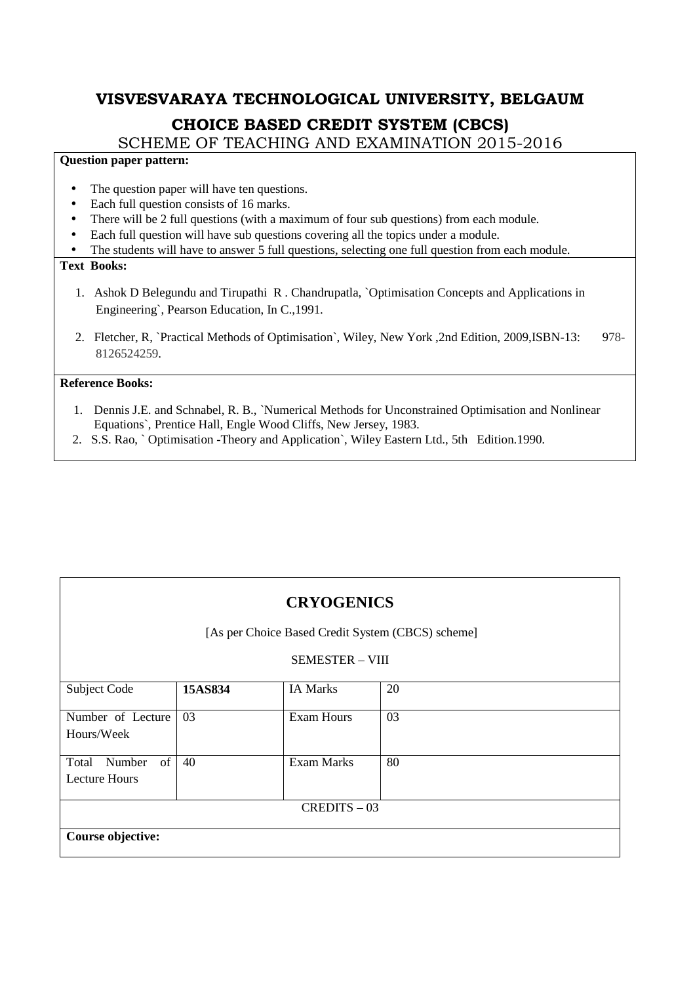SCHEME OF TEACHING AND EXAMINATION 2015-2016

#### **Question paper pattern:**

- The question paper will have ten questions.
- Each full question consists of 16 marks.
- There will be 2 full questions (with a maximum of four sub questions) from each module.
- Each full question will have sub questions covering all the topics under a module.
- The students will have to answer 5 full questions, selecting one full question from each module.

#### **Text Books:**

- 1. Ashok D Belegundu and Tirupathi R . Chandrupatla, `Optimisation Concepts and Applications in Engineering`, Pearson Education, In C.,1991.
- 2. Fletcher, R, `Practical Methods of Optimisation`, Wiley, New York ,2nd Edition, 2009,ISBN-13: 978- 8126524259.

- 1. Dennis J.E. and Schnabel, R. B., `Numerical Methods for Unconstrained Optimisation and Nonlinear Equations`, Prentice Hall, Engle Wood Cliffs, New Jersey, 1983.
- 2. S.S. Rao, ` Optimisation -Theory and Application`, Wiley Eastern Ltd., 5th Edition.1990.

| <b>CRYOGENICS</b><br>[As per Choice Based Credit System (CBCS) scheme] |         |                   |    |  |
|------------------------------------------------------------------------|---------|-------------------|----|--|
| <b>SEMESTER - VIII</b>                                                 |         |                   |    |  |
| Subject Code                                                           | 15AS834 | <b>IA Marks</b>   | 20 |  |
| Number of Lecture<br>Hours/Week                                        | 03      | <b>Exam Hours</b> | 03 |  |
| of<br>Number<br>Total<br><b>Lecture Hours</b>                          | 40      | <b>Exam Marks</b> | 80 |  |
| $CREDITS - 03$                                                         |         |                   |    |  |
| Course objective:                                                      |         |                   |    |  |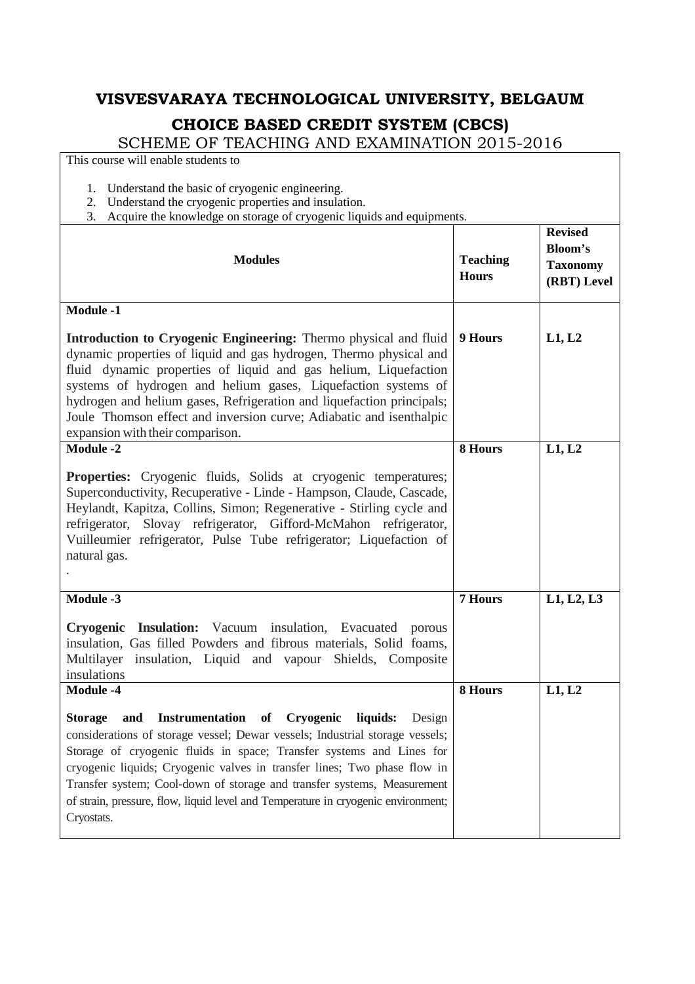SCHEME OF TEACHING AND EXAMINATION 2015-2016

This course will enable students to

- 1. Understand the basic of cryogenic engineering.
- 2. Understand the cryogenic properties and insulation.
- 3. Acquire the knowledge on storage of cryogenic liquids and equipments.

| require the knowledge on storage of eryogenic highes and equipments.<br><b>Modules</b>                                                                                                                                                                                                                                                                                                                                                                                                     | <b>Teaching</b><br><b>Hours</b> | <b>Revised</b><br><b>Bloom's</b><br><b>Taxonomy</b><br>(RBT) Level |
|--------------------------------------------------------------------------------------------------------------------------------------------------------------------------------------------------------------------------------------------------------------------------------------------------------------------------------------------------------------------------------------------------------------------------------------------------------------------------------------------|---------------------------------|--------------------------------------------------------------------|
| <b>Module -1</b>                                                                                                                                                                                                                                                                                                                                                                                                                                                                           |                                 |                                                                    |
| Introduction to Cryogenic Engineering: Thermo physical and fluid<br>dynamic properties of liquid and gas hydrogen, Thermo physical and<br>fluid dynamic properties of liquid and gas helium, Liquefaction<br>systems of hydrogen and helium gases, Liquefaction systems of<br>hydrogen and helium gases, Refrigeration and liquefaction principals;<br>Joule Thomson effect and inversion curve; Adiabatic and isenthalpic<br>expansion with their comparison.                             | 9 Hours                         | L1, L2                                                             |
| <b>Module -2</b>                                                                                                                                                                                                                                                                                                                                                                                                                                                                           | 8 Hours                         | L1, L2                                                             |
| <b>Properties:</b> Cryogenic fluids, Solids at cryogenic temperatures;<br>Superconductivity, Recuperative - Linde - Hampson, Claude, Cascade,<br>Heylandt, Kapitza, Collins, Simon; Regenerative - Stirling cycle and<br>refrigerator, Slovay refrigerator, Gifford-McMahon refrigerator,<br>Vuilleumier refrigerator, Pulse Tube refrigerator; Liquefaction of<br>natural gas.                                                                                                            |                                 |                                                                    |
| Module -3                                                                                                                                                                                                                                                                                                                                                                                                                                                                                  | 7 Hours                         | L1, L2, L3                                                         |
| Cryogenic Insulation: Vacuum insulation, Evacuated porous<br>insulation, Gas filled Powders and fibrous materials, Solid foams,<br>Multilayer insulation, Liquid and vapour Shields, Composite<br>insulations                                                                                                                                                                                                                                                                              |                                 |                                                                    |
| <b>Module -4</b>                                                                                                                                                                                                                                                                                                                                                                                                                                                                           | 8 Hours                         | L1, L2                                                             |
| Instrumentation of Cryogenic liquids:<br><b>Storage</b><br>and<br>Design<br>considerations of storage vessel; Dewar vessels; Industrial storage vessels;<br>Storage of cryogenic fluids in space; Transfer systems and Lines for<br>cryogenic liquids; Cryogenic valves in transfer lines; Two phase flow in<br>Transfer system; Cool-down of storage and transfer systems, Measurement<br>of strain, pressure, flow, liquid level and Temperature in cryogenic environment;<br>Cryostats. |                                 |                                                                    |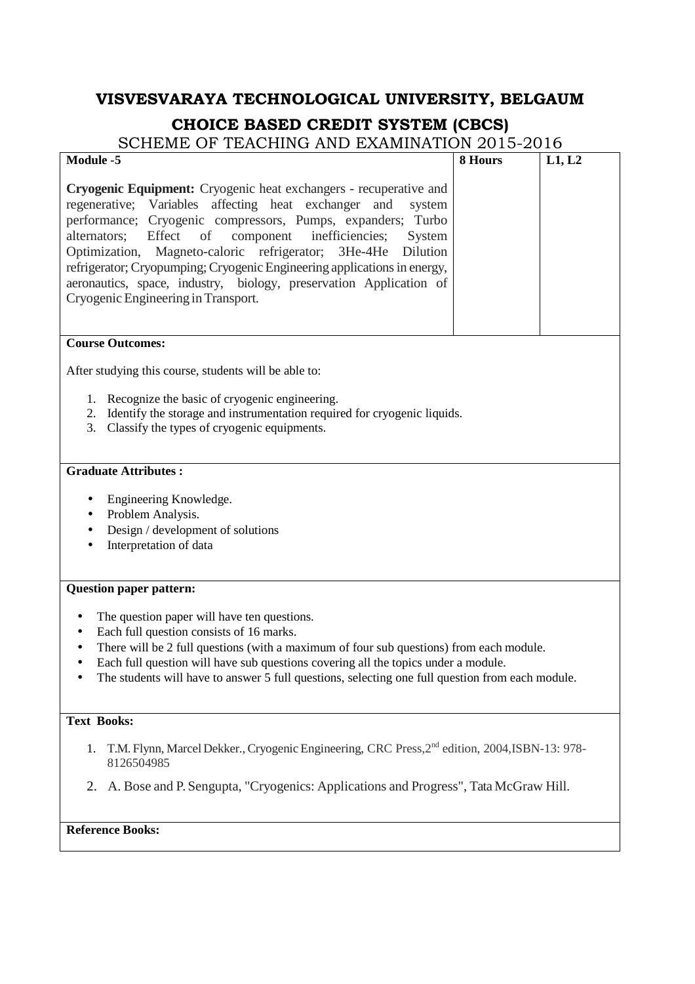| Module -5                                                                                                                                                                                                                                                                                                                                                                                                                                                                                                                                            | 8 Hours | L1, L2 |  |  |
|------------------------------------------------------------------------------------------------------------------------------------------------------------------------------------------------------------------------------------------------------------------------------------------------------------------------------------------------------------------------------------------------------------------------------------------------------------------------------------------------------------------------------------------------------|---------|--------|--|--|
| Cryogenic Equipment: Cryogenic heat exchangers - recuperative and<br>regenerative; Variables affecting heat exchanger<br>and<br>system<br>performance; Cryogenic compressors, Pumps, expanders;<br>Turbo<br>component<br>inefficiencies;<br>Effect<br>of<br>alternators;<br>System<br>Magneto-caloric refrigerator;<br>3He-4He<br>Dilution<br>Optimization,<br>refrigerator; Cryopumping; Cryogenic Engineering applications in energy,<br>aeronautics, space, industry, biology, preservation Application of<br>Cryogenic Engineering in Transport. |         |        |  |  |
| <b>Course Outcomes:</b>                                                                                                                                                                                                                                                                                                                                                                                                                                                                                                                              |         |        |  |  |
| After studying this course, students will be able to:<br>1. Recognize the basic of cryogenic engineering.<br>Identify the storage and instrumentation required for cryogenic liquids.<br>2.<br>Classify the types of cryogenic equipments.<br>3.                                                                                                                                                                                                                                                                                                     |         |        |  |  |
| <b>Graduate Attributes:</b>                                                                                                                                                                                                                                                                                                                                                                                                                                                                                                                          |         |        |  |  |
| Engineering Knowledge.<br>٠<br>Problem Analysis.<br>٠<br>Design / development of solutions<br>Interpretation of data                                                                                                                                                                                                                                                                                                                                                                                                                                 |         |        |  |  |
| <b>Question paper pattern:</b>                                                                                                                                                                                                                                                                                                                                                                                                                                                                                                                       |         |        |  |  |
| The question paper will have ten questions.<br>٠<br>Each full question consists of 16 marks.<br>٠<br>There will be 2 full questions (with a maximum of four sub questions) from each module.<br>Each full question will have sub questions covering all the topics under a module.<br>The students will have to answer 5 full questions, selecting one full question from each module.                                                                                                                                                               |         |        |  |  |
| <b>Text Books:</b>                                                                                                                                                                                                                                                                                                                                                                                                                                                                                                                                   |         |        |  |  |
| 1. T.M. Flynn, Marcel Dekker., Cryogenic Engineering, CRC Press, 2 <sup>nd</sup> edition, 2004, ISBN-13: 978-<br>8126504985                                                                                                                                                                                                                                                                                                                                                                                                                          |         |        |  |  |
| A. Bose and P. Sengupta, "Cryogenics: Applications and Progress", Tata McGraw Hill.<br>2.                                                                                                                                                                                                                                                                                                                                                                                                                                                            |         |        |  |  |
| <b>Reference Books:</b>                                                                                                                                                                                                                                                                                                                                                                                                                                                                                                                              |         |        |  |  |
|                                                                                                                                                                                                                                                                                                                                                                                                                                                                                                                                                      |         |        |  |  |